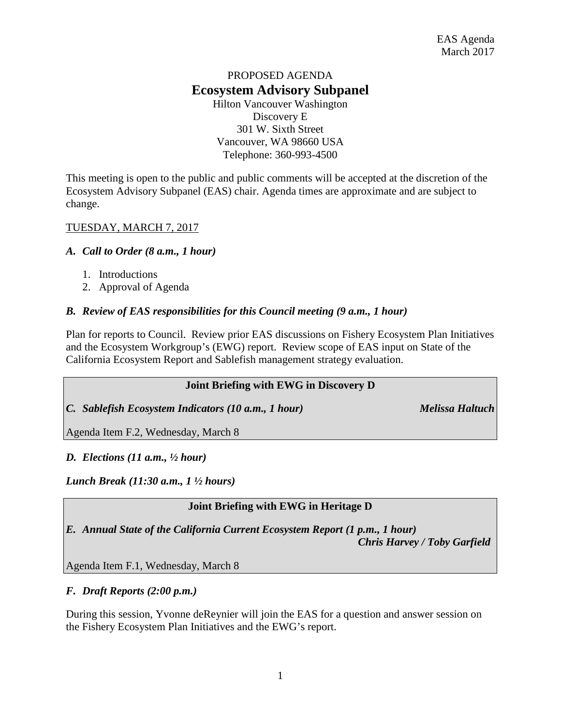# PROPOSED AGENDA **Ecosystem Advisory Subpanel**

Hilton Vancouver Washington Discovery E 301 W. Sixth Street Vancouver, WA 98660 USA Telephone: 360-993-4500

This meeting is open to the public and public comments will be accepted at the discretion of the Ecosystem Advisory Subpanel (EAS) chair. Agenda times are approximate and are subject to change.

## TUESDAY, MARCH 7, 2017

#### *A. Call to Order (8 a.m., 1 hour)*

- 1. Introductions
- 2. Approval of Agenda

## *B. Review of EAS responsibilities for this Council meeting (9 a.m., 1 hour)*

Plan for reports to Council. Review prior EAS discussions on Fishery Ecosystem Plan Initiatives and the Ecosystem Workgroup's (EWG) report. Review scope of EAS input on State of the California Ecosystem Report and Sablefish management strategy evaluation.

#### **Joint Briefing with EWG in Discovery D**

*C. Sablefish Ecosystem Indicators (10 a.m., 1 hour) Melissa Haltuch*

Agenda Item F.2, Wednesday, March 8

#### *D. Elections (11 a.m., ½ hour)*

*Lunch Break (11:30 a.m., 1 ½ hours)* 

# **Joint Briefing with EWG in Heritage D**

*E. Annual State of the California Current Ecosystem Report (1 p.m., 1 hour)*

*Chris Harvey / Toby Garfield*

Agenda Item F.1, Wednesday, March 8

#### *F. Draft Reports (2:00 p.m.)*

During this session, Yvonne deReynier will join the EAS for a question and answer session on the Fishery Ecosystem Plan Initiatives and the EWG's report.